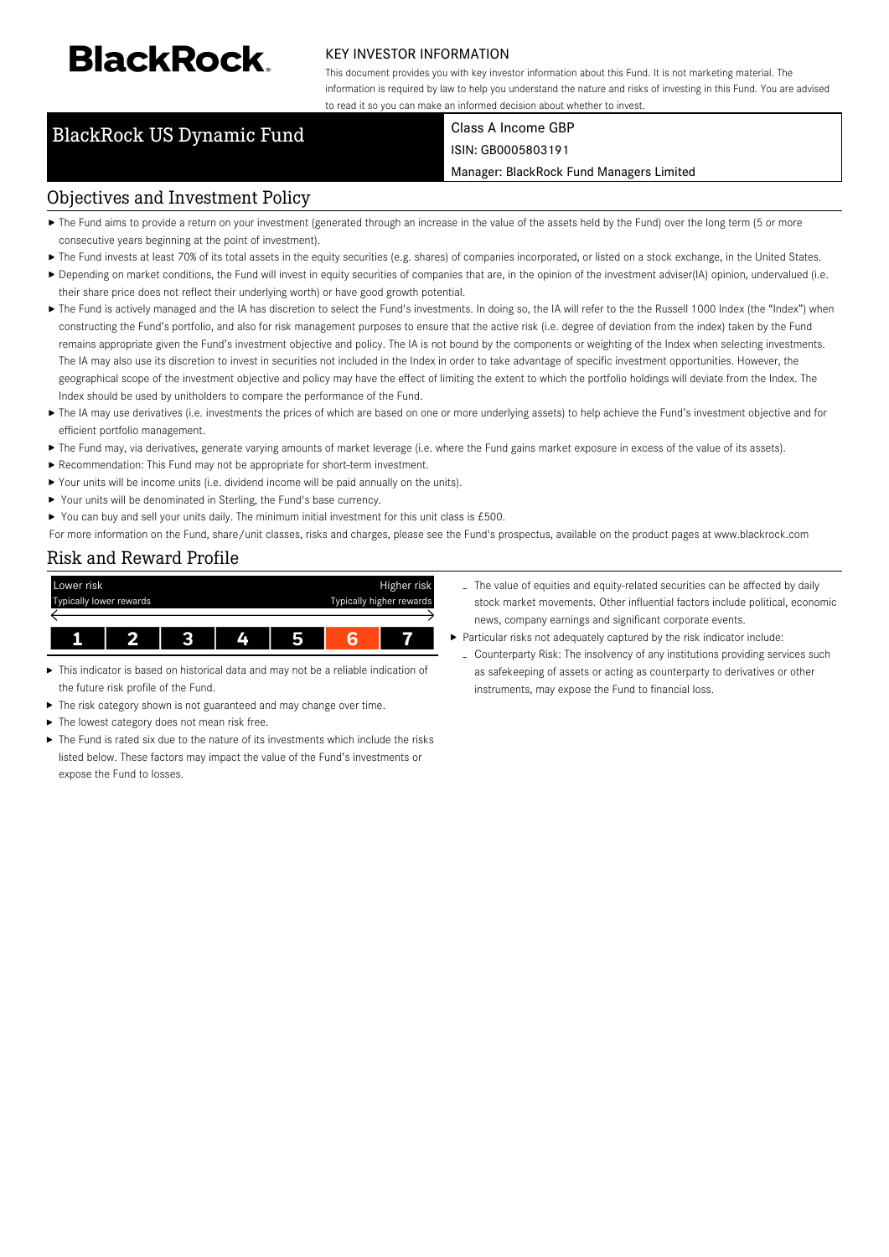# **BlackRock**

#### KEY INVESTOR INFORMATION

This document provides you with key investor information about this Fund. It is not marketing material. The information is required by law to help you understand the nature and risks of investing in this Fund. You are advised to read it so you can make an informed decision about whether to invest.

## BlackRock US Dynamic Fund Class A Income GBP

ISIN: GB0005803191

Manager: BlackRock Fund Managers Limited

#### Objectives and Investment Policy

- ▶ The Fund aims to provide a return on your investment (generated through an increase in the value of the assets held by the Fund) over the long term (5 or more consecutive years beginning at the point of investment).
- ▶ The Fund invests at least 70% of its total assets in the equity securities (e.g. shares) of companies incorporated, or listed on a stock exchange, in the United States.
- Depending on market conditions, the Fund will invest in equity securities of companies that are, in the opinion of the investment adviser(IA) opinion, undervalued (i.e. their share price does not reflect their underlying worth) or have good growth potential.
- ▶ The Fund is actively managed and the IA has discretion to select the Fund's investments. In doing so, the IA will refer to the the Russell 1000 Index (the "Index") when constructing the Fund's portfolio, and also for risk management purposes to ensure that the active risk (i.e. degree of deviation from the index) taken by the Fund remains appropriate given the Fund's investment objective and policy. The IA is not bound by the components or weighting of the Index when selecting investments. The IA may also use its discretion to invest in securities not included in the Index in order to take advantage of specific investment opportunities. However, the geographical scope of the investment objective and policy may have the effect of limiting the extent to which the portfolio holdings will deviate from the Index. The Index should be used by unitholders to compare the performance of the Fund.
- ▶ The IA may use derivatives (i.e. investments the prices of which are based on one or more underlying assets) to help achieve the Fund's investment objective and for efficient portfolio management.
- ▶ The Fund may, via derivatives, generate varying amounts of market leverage (i.e. where the Fund gains market exposure in excess of the value of its assets).
- Recommendation: This Fund may not be appropriate for short-term investment.
- Your units will be income units (i.e. dividend income will be paid annually on the units).
- ▶ Your units will be denominated in Sterling, the Fund's base currency.
- You can buy and sell your units daily. The minimum initial investment for this unit class is  $£500$ .

For more information on the Fund, share/unit classes, risks and charges, please see the Fund's prospectus, available on the product pages at www.blackrock.com

### Risk and Reward Profile



- This indicator is based on historical data and may not be a reliable indication of the future risk profile of the Fund.
- × The risk category shown is not guaranteed and may change over time.
- The lowest category does not mean risk free.
- The Fund is rated six due to the nature of its investments which include the risks listed below. These factors may impact the value of the Fund's investments or expose the Fund to losses.
- The value of equities and equity-related securities can be affected by daily stock market movements. Other influential factors include political, economic news, company earnings and significant corporate events.
- Particular risks not adequately captured by the risk indicator include:
	- Counterparty Risk: The insolvency of any institutions providing services such as safekeeping of assets or acting as counterparty to derivatives or other instruments, may expose the Fund to financial loss.